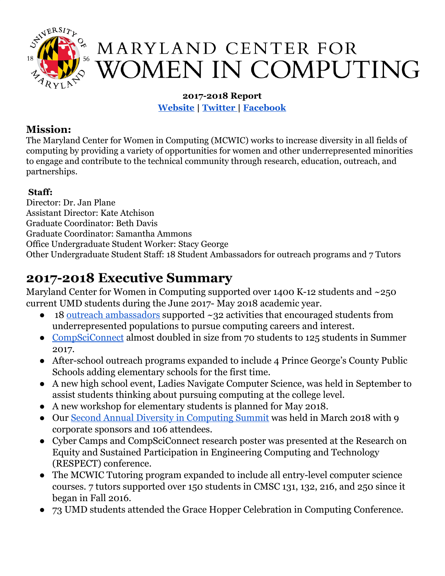

# MARYLAND CENTER FOR **WOMEN IN COMPUTING**

# **2017-2018 Report [Website](http://mcwic.cs.umd.edu/) | [Twitter |](https://twitter.com/MCWIC_UMD) [Facebook](https://www.facebook.com/marylandwomencomputing/)**

# **Mission:**

The Maryland Center for Women in Computing (MCWIC) works to increase diversity in all fields of computing by providing a variety of opportunities for women and other underrepresented minorities to engage and contribute to the technical community through research, education, outreach, and partnerships.

# **Staff:**

Director: Dr. Jan Plane Assistant Director: Kate Atchison Graduate Coordinator: Beth Davis Graduate Coordinator: Samantha Ammons Office Undergraduate Student Worker: Stacy George Other Undergraduate Student Staff: 18 Student Ambassadors for outreach programs and 7 Tutors

# **2017-2018 Executive Summary**

Maryland Center for Women in Computing supported over 1400 K-12 students and ~250 current UMD students during the June 2017- May 2018 academic year.

- $18$  outreach [ambassadors](https://mcwic.cs.umd.edu/programs/#professional) supported  $\sim$ 32 activities that encouraged students from underrepresented populations to pursue computing careers and interest.
- [CompSciConnect](https://mcwic.cs.umd.edu/csc) almost doubled in size from 70 students to 125 students in Summer 2017.
- After-school outreach programs expanded to include 4 Prince George's County Public Schools adding elementary schools for the first time.
- A new high school event, Ladies Navigate Computer Science, was held in September to assist students thinking about pursuing computing at the college level.
- A new workshop for elementary students is planned for May 2018.
- Our Second Annual Diversity in [Computing](https://mcwic.cs.umd.edu/events/diversity) Summit was held in March 2018 with 9 corporate sponsors and 106 attendees.
- Cyber Camps and CompSciConnect research poster was presented at the Research on Equity and Sustained Participation in Engineering Computing and Technology (RESPECT) conference.
- The MCWIC Tutoring program expanded to include all entry-level computer science courses. 7 tutors supported over 150 students in CMSC 131, 132, 216, and 250 since it began in Fall 2016.
- 73 UMD students attended the Grace Hopper Celebration in Computing Conference.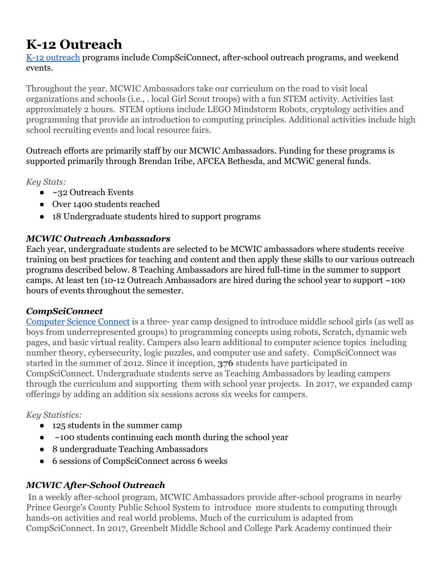# **K-12 Outreach**

[K-12 outreach](http://mcwic.cs.umd.edu/programs#outreach) programs include CompSciConnect, after-school outreach programs, and weekend events.

Throughout the year, MCWIC Ambassadors take our curriculum on the road to visit local organizations and schools (i.e., . local Girl Scout troops) with a fun STEM activity. Activities last approximately 2 hours. STEM options include LEGO Mindstorm Robots, cryptology activities and programming that provide an introduction to computing principles. Additional activities include high school recruiting events and local resource fairs.

Outreach efforts are primarily staff by our MCWIC Ambassadors. Funding for these programs is supported primarily through Brendan Iribe, AFCEA Bethesda, and MCWiC general funds.

#### *Key Stats:*

- ~32 Outreach Events
- Over 1400 students reached
- 18 Undergraduate students hired to support programs

# *MCWIC Outreach Ambassadors*

Each year, undergraduate students are selected to be MCWIC ambassadors where students receive training on best practices for teaching and content and then apply these skills to our various outreach programs described below. 8 Teaching Ambassadors are hired full-time in the summer to support camps. At least ten (10-12 Outreach Ambassadors are hired during the school year to support ~100 hours of events throughout the semester.

# *CompSciConnect*

[Computer Science Connect](https://mcwic.cs.umd.edu/csc) is a three- year camp designed to introduce middle school girls (as well as boys from underrepresented groups) to programming concepts using robots, Scratch, dynamic web pages, and basic virtual reality. Campers also learn additional to computer science topics including number theory, cybersecurity, logic puzzles, and computer use and safety. CompSciConnect was started in the summer of 2012. Since it inception, **376** students have participated in CompSciConnect. Undergraduate students serve as Teaching Ambassadors by leading campers through the curriculum and supporting them with school year projects. In 2017, we expanded camp offerings by adding an addition six sessions across six weeks for campers.

# *Key Statistics:*

- 125 students in the summer camp
- $\bullet$  ~100 students continuing each month during the school year
- 8 undergraduate Teaching Ambassadors
- 6 sessions of CompSciConnect across 6 weeks

# *MCWIC After-School Outreach*

 In a weekly after-school program, MCWIC Ambassadors provide after-school programs in nearby Prince George's County Public School System to introduce more students to computing through hands-on activities and real world problems. Much of the curriculum is adapted from CompSciConnect. In 2017, Greenbelt Middle School and College Park Academy continued their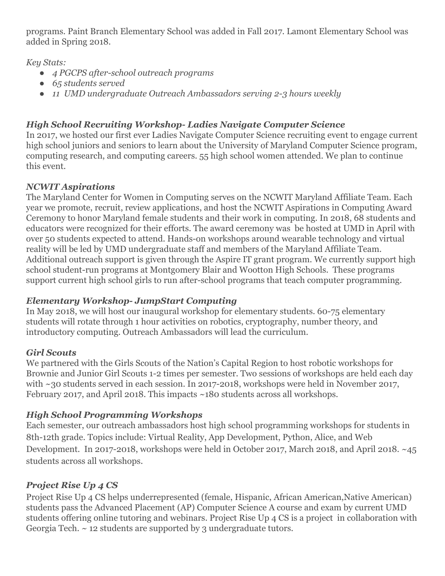programs. Paint Branch Elementary School was added in Fall 2017. Lamont Elementary School was added in Spring 2018.

*Key Stats:*

- *● 4 PGCPS after-school outreach programs*
- *● 65 students served*
- *● 11 UMD undergraduate Outreach Ambassadors serving 2-3 hours weekly*

# *High School Recruiting Workshop- Ladies Navigate Computer Science*

In 2017, we hosted our first ever Ladies Navigate Computer Science recruiting event to engage current high school juniors and seniors to learn about the University of Maryland Computer Science program, computing research, and computing careers. 55 high school women attended. We plan to continue this event.

# *NCWIT Aspirations*

The Maryland Center for Women in Computing serves on the NCWIT Maryland Affiliate Team. Each year we promote, recruit, review applications, and host the NCWIT Aspirations in Computing Award Ceremony to honor Maryland female students and their work in computing. In 2018, 68 students and educators were recognized for their efforts. The award ceremony was be hosted at UMD in April with over 50 students expected to attend. Hands-on workshops around wearable technology and virtual reality will be led by UMD undergraduate staff and members of the Maryland Affiliate Team. Additional outreach support is given through the Aspire IT grant program. We currently support high school student-run programs at Montgomery Blair and Wootton High Schools. These programs support current high school girls to run after-school programs that teach computer programming.

# *Elementary Workshop- JumpStart Computing*

In May 2018, we will host our inaugural workshop for elementary students. 60-75 elementary students will rotate through 1 hour activities on robotics, cryptography, number theory, and introductory computing. Outreach Ambassadors will lead the curriculum.

# *Girl Scouts*

We partnered with the Girls Scouts of the Nation's Capital Region to host robotic workshops for Brownie and Junior Girl Scouts 1-2 times per semester. Two sessions of workshops are held each day with ~30 students served in each session. In 2017-2018, workshops were held in November 2017, February 2017, and April 2018. This impacts ~180 students across all workshops.

# *High School Programming Workshops*

Each semester, our outreach ambassadors host high school programming workshops for students in 8th-12th grade. Topics include: Virtual Reality, App Development, Python, Alice, and Web Development. In 2017-2018, workshops were held in October 2017, March 2018, and April 2018. ~45 students across all workshops.

# *Project Rise Up 4 CS*

Project Rise Up 4 CS helps underrepresented (female, Hispanic, African American,Native American) students pass the Advanced Placement (AP) Computer Science A course and exam by current UMD students offering online tutoring and webinars. Project Rise Up 4 CS is a project in collaboration with Georgia Tech. ~ 12 students are supported by 3 undergraduate tutors.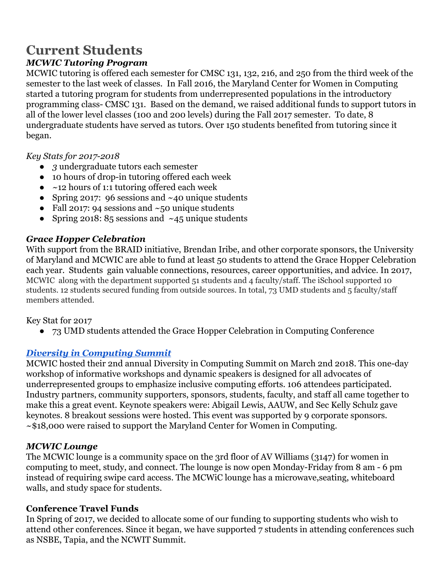# **Current Students**

# *MCWIC Tutoring Program*

MCWIC tutoring is offered each semester for CMSC 131, 132, 216, and 250 from the third week of the semester to the last week of classes. In Fall 2016, the Maryland Center for Women in Computing started a tutoring program for students from underrepresented populations in the introductory programming class- CMSC 131. Based on the demand, we raised additional funds to support tutors in all of the lower level classes (100 and 200 levels) during the Fall 2017 semester. To date, 8 undergraduate students have served as tutors. Over 150 students benefited from tutoring since it began.

#### *Key Stats for 2017-2018*

- *● 3* undergraduate tutors each semester
- 10 hours of drop-in tutoring offered each week
- $\bullet$  ~12 hours of 1:1 tutoring offered each week
- Spring 2017: 96 sessions and  $~40$  unique students
- Fall 2017: 94 sessions and  $\sim$ 50 unique students
- Spring 2018:  $85$  sessions and  $\sim$  45 unique students

#### *Grace Hopper Celebration*

With support from the BRAID initiative, Brendan Iribe, and other corporate sponsors, the University of Maryland and MCWIC are able to fund at least 50 students to attend the Grace Hopper Celebration each year. Students gain valuable connections, resources, career opportunities, and advice. In 2017, MCWIC along with the department supported 51 students and 4 faculty/staff. The iSchool supported 10 students. 12 students secured funding from outside sources. In total, 73 UMD students and 5 faculty/staff members attended.

#### Key Stat for 2017

● 73 UMD students attended the Grace Hopper Celebration in Computing Conference

#### *[Diversity in Computing Summit](http://mcwic.cs.umd.edu/events/diversity)*

MCWIC hosted their 2nd annual Diversity in Computing Summit on March 2nd 2018. This one-day workshop of informative workshops and dynamic speakers is designed for all advocates of underrepresented groups to emphasize inclusive computing efforts. 106 attendees participated. Industry partners, community supporters, sponsors, students, faculty, and staff all came together to make this a great event. Keynote speakers were: Abigail Lewis, AAUW, and Sec Kelly Schulz gave keynotes. 8 breakout sessions were hosted. This event was supported by 9 corporate sponsors. ~\$18,000 were raised to support the Maryland Center for Women in Computing.

#### *MCWIC Lounge*

The MCWIC lounge is a community space on the 3rd floor of AV Williams (3147) for women in computing to meet, study, and connect. The lounge is now open Monday-Friday from 8 am - 6 pm instead of requiring swipe card access. The MCWiC lounge has a microwave,seating, whiteboard walls, and study space for students.

#### **Conference Travel Funds**

In Spring of 2017, we decided to allocate some of our funding to supporting students who wish to attend other conferences. Since it began, we have supported 7 students in attending conferences such as NSBE, Tapia, and the NCWIT Summit.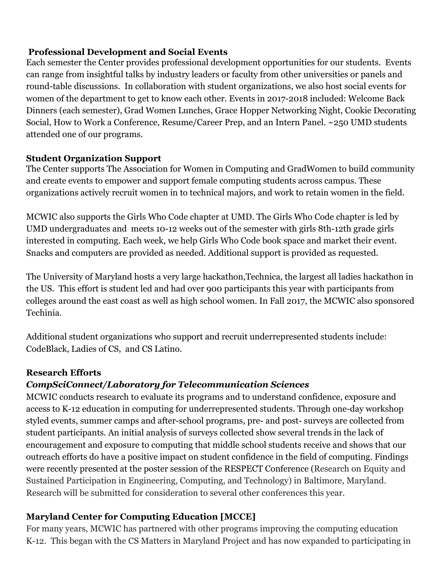#### **Professional Development and Social Events**

Each semester the Center provides professional development opportunities for our students. Events can range from insightful talks by industry leaders or faculty from other universities or panels and round-table discussions. In collaboration with student organizations, we also host social events for women of the department to get to know each other. Events in 2017-2018 included: Welcome Back Dinners (each semester), Grad Women Lunches, Grace Hopper Networking Night, Cookie Decorating Social, How to Work a Conference, Resume/Career Prep, and an Intern Panel. ~250 UMD students attended one of our programs.

#### **Student Organization Support**

The Center supports [The Association for Women in Computing](https://awc-umcp.squarespace.com/) and GradWomen to build community and create events to empower and support female computing students across campus. These organizations actively recruit women in to technical majors, and work to retain women in the field.

MCWIC also supports the Girls Who Code chapter at UMD. The Girls Who Code chapter is led by UMD undergraduates and meets 10-12 weeks out of the semester with girls 8th-12th grade girls interested in computing. Each week, we help Girls Who Code book space and market their event. Snacks and computers are provided as needed. Additional support is provided as requested.

The University of Maryland hosts a very large hackathon,Technica, the largest all ladies hackathon in the US. This effort is student led and had over 900 participants this year with participants from colleges around the east coast as well as high school women. In Fall 2017, the MCWIC also sponsored Techinia.

Additional student organizations who support and recruit underrepresented students include: CodeBlack, Ladies of CS, and CS Latino.

#### **Research Efforts**

#### *CompSciConnect/Laboratory for Telecommunication Sciences*

MCWIC conducts research to evaluate its programs and to understand confidence, exposure and access to K-12 education in computing for underrepresented students. Through one-day workshop styled events, summer camps and after-school programs, pre- and post- surveys are collected from student participants. An initial analysis of surveys collected show several trends in the lack of encouragement and exposure to computing that middle school students receive and shows that our outreach efforts do have a positive impact on student confidence in the field of computing. Findings were recently presented at the poster session of the RESPECT Conference (Research on Equity and Sustained Participation in Engineering, Computing, and Technology) in Baltimore, Maryland. Research will be submitted for consideration to several other conferences this year.

#### **Maryland Center for Computing Education [MCCE]**

For many years, MCWIC has partnered with other programs improving the computing education K-12. This began with the CS Matters in Maryland Project and has now expanded to participating in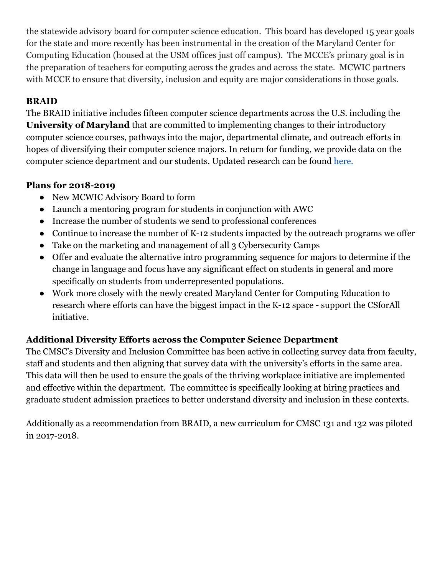the statewide advisory board for computer science education. This board has developed 15 year goals for the state and more recently has been instrumental in the creation of the Maryland Center for Computing Education (housed at the USM offices just off campus). The MCCE's primary goal is in the preparation of teachers for computing across the grades and across the state. MCWIC partners with MCCE to ensure that diversity, inclusion and equity are major considerations in those goals.

### **BRAID**

The BRAID initiative includes fifteen computer science departments across the U.S. including the **University of Maryland** that are committed to implementing changes to their introductory computer science courses, pathways into the major, departmental climate, and outreach efforts in hopes of diversifying their computer science majors. In return for funding, we provide data on the computer science department and our students. Updated research can be found [here.](https://braidresearch.gseis.ucla.edu/publications/)

#### **Plans for 2018-2019**

- New MCWIC Advisory Board to form
- Launch a mentoring program for students in conjunction with AWC
- Increase the number of students we send to professional conferences
- Continue to increase the number of K-12 students impacted by the outreach programs we offer
- Take on the marketing and management of all 3 Cybersecurity Camps
- Offer and evaluate the alternative intro programming sequence for majors to determine if the change in language and focus have any significant effect on students in general and more specifically on students from underrepresented populations.
- Work more closely with the newly created Maryland Center for Computing Education to research where efforts can have the biggest impact in the K-12 space - support the CSforAll initiative.

# **Additional Diversity Efforts across the Computer Science Department**

The CMSC's Diversity and Inclusion Committee has been active in collecting survey data from faculty, staff and students and then aligning that survey data with the university's efforts in the same area. This data will then be used to ensure the goals of the thriving workplace initiative are implemented and effective within the department. The committee is specifically looking at hiring practices and graduate student admission practices to better understand diversity and inclusion in these contexts.

Additionally as a recommendation from BRAID, a new curriculum for CMSC 131 and 132 was piloted in 2017-2018.